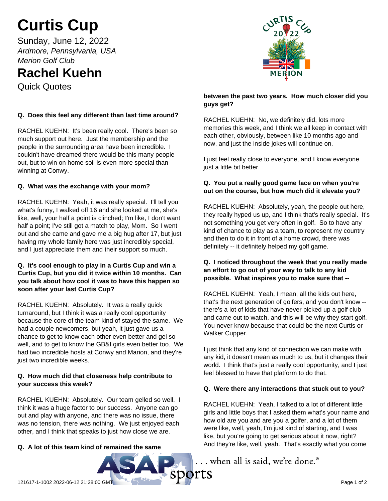# **Curtis Cup**

Sunday, June 12, 2022 *Ardmore, Pennsylvania, USA Merion Golf Club*

# **Rachel Kuehn**

Quick Quotes

# **Q. Does this feel any different than last time around?**

RACHEL KUEHN: It's been really cool. There's been so much support out here. Just the membership and the people in the surrounding area have been incredible. I couldn't have dreamed there would be this many people out, but to win on home soil is even more special than winning at Conwy.

# **Q. What was the exchange with your mom?**

RACHEL KUEHN: Yeah, it was really special. I'll tell you what's funny, I walked off 16 and she looked at me, she's like, well, your half a point is clinched; I'm like, I don't want half a point; I've still got a match to play, Mom. So I went out and she came and gave me a big hug after 17, but just having my whole family here was just incredibly special, and I just appreciate them and their support so much.

## **Q. It's cool enough to play in a Curtis Cup and win a Curtis Cup, but you did it twice within 10 months. Can you talk about how cool it was to have this happen so soon after your last Curtis Cup?**

RACHEL KUEHN: Absolutely. It was a really quick turnaround, but I think it was a really cool opportunity because the core of the team kind of stayed the same. We had a couple newcomers, but yeah, it just gave us a chance to get to know each other even better and gel so well, and to get to know the GB&I girls even better too. We had two incredible hosts at Conwy and Marion, and they're just two incredible weeks.

## **Q. How much did that closeness help contribute to your success this week?**

RACHEL KUEHN: Absolutely. Our team gelled so well. I think it was a huge factor to our success. Anyone can go out and play with anyone, and there was no issue, there was no tension, there was nothing. We just enjoyed each other, and I think that speaks to just how close we are.

# **Q. A lot of this team kind of remained the same**





#### **between the past two years. How much closer did you guys get?**

RACHEL KUEHN: No, we definitely did, lots more memories this week, and I think we all keep in contact with each other, obviously, between like 10 months ago and now, and just the inside jokes will continue on.

I just feel really close to everyone, and I know everyone just a little bit better.

## **Q. You put a really good game face on when you're out on the course, but how much did it elevate you?**

RACHEL KUEHN: Absolutely, yeah, the people out here, they really hyped us up, and I think that's really special. It's not something you get very often in golf. So to have any kind of chance to play as a team, to represent my country and then to do it in front of a home crowd, there was definitely -- it definitely helped my golf game.

## **Q. I noticed throughout the week that you really made an effort to go out of your way to talk to any kid possible. What inspires you to make sure that --**

RACHEL KUEHN: Yeah, I mean, all the kids out here, that's the next generation of golfers, and you don't know - there's a lot of kids that have never picked up a golf club and came out to watch, and this will be why they start golf. You never know because that could be the next Curtis or Walker Cupper.

I just think that any kind of connection we can make with any kid, it doesn't mean as much to us, but it changes their world. I think that's just a really cool opportunity, and I just feel blessed to have that platform to do that.

# **Q. Were there any interactions that stuck out to you?**

RACHEL KUEHN: Yeah, I talked to a lot of different little girls and little boys that I asked them what's your name and how old are you and are you a golfer, and a lot of them were like, well, yeah, I'm just kind of starting, and I was like, but you're going to get serious about it now, right? And they're like, well, yeah. That's exactly what you come

... when all is said, we're done.<sup>®</sup>